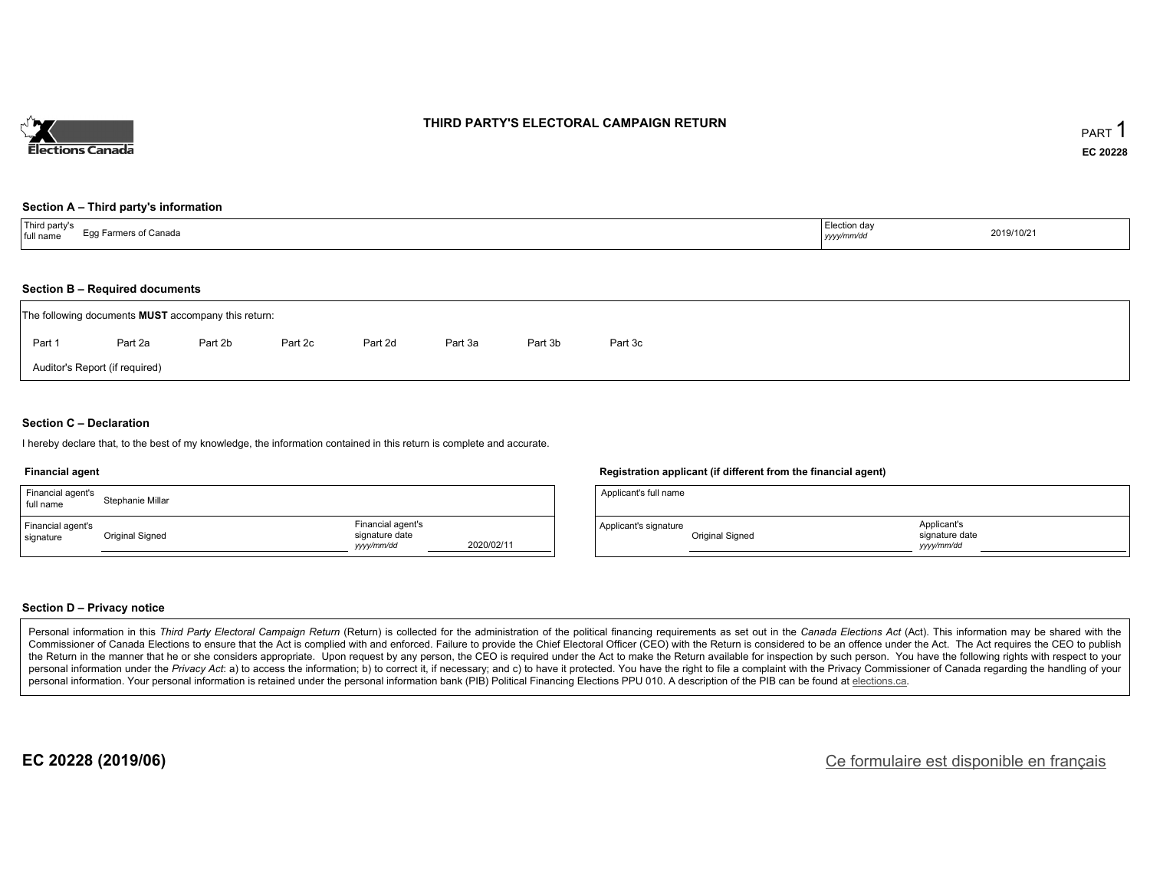

### **THIRD PARTY'S ELECTORAL CAMPAIGN RETURN**

#### **Section A – Third party's information**

| Third party's<br>Egg Farmers of Canada<br>full name<br>.  . <b>.</b> | Election day<br>2019/10/21<br>yyyy/mm/dd |  |
|----------------------------------------------------------------------|------------------------------------------|--|
|----------------------------------------------------------------------|------------------------------------------|--|

#### **Section B – Required documents**

|        | The following documents <b>MUST</b> accompany this return: |         |         |         |         |         |         |
|--------|------------------------------------------------------------|---------|---------|---------|---------|---------|---------|
| Part 1 | Part 2a                                                    | Part 2b | Part 2c | Part 2d | Part 3a | Part 3b | Part 3c |
|        | Auditor's Report (if required)                             |         |         |         |         |         |         |

### **Section C – Declaration**

I hereby declare that, to the best of my knowledge, the information contained in this return is complete and accurate.

#### **Financial agent**

| Financial agent's<br>full name | Stephanie Millar |                                                  |            |
|--------------------------------|------------------|--------------------------------------------------|------------|
| Financial agent's<br>signature | Original Signed  | Financial agent's<br>signature date<br>vyy/mm/dd | 2020/02/11 |

#### **Registration applicant (if different from the financial agent)**

| Applicant's full name |                 |                                            |  |
|-----------------------|-----------------|--------------------------------------------|--|
| Applicant's signature | Original Signed | Applicant's<br>signature date<br>vyy/mm/dd |  |

### **Section D – Privacy notice**

Personal information in this Third Party Electoral Campaign Return (Return) is collected for the administration of the political financing requirements as set out in the Canada Elections Act (Act). This information may be Commissioner of Canada Elections to ensure that the Act is complied with and enforced. Failure to provide the Chief Electoral Officer (CEO) with the Return is considered to be an offence under the Act. The Act requires the the Return in the manner that he or she considers appropriate. Upon request by any person, the CEO is required under the Act to make the Return available for inspection by such person. You have the following rights with re personal information under the Privacy Act: a) to access the information; b) to correct it, if necessary; and c) to have it protected. You have the right to file a complaint with the Privacy Commissioner of Canada regardin personal information. Your personal information is retained under the personal information bank (PIB) Political Financing Elections PPU 010. A description of the PIB can be found at elections.ca.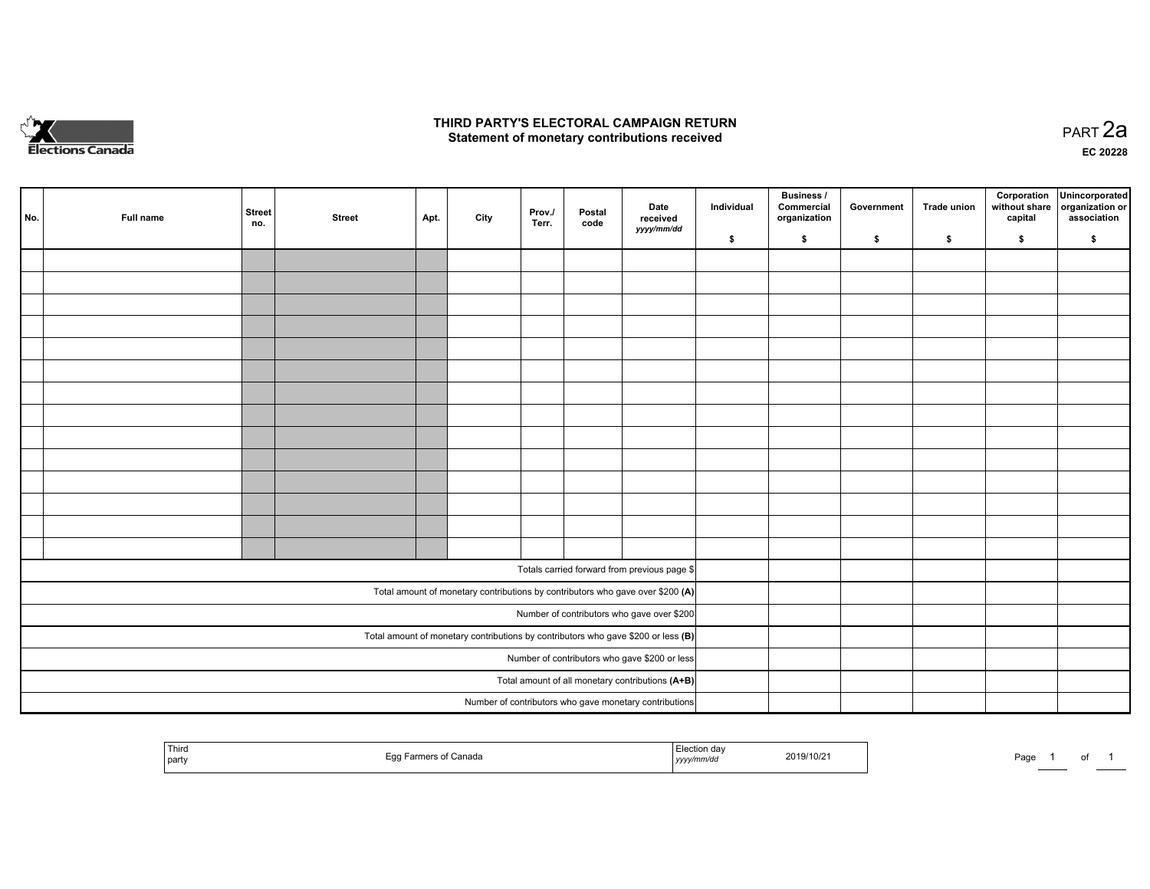

### **THIRD PARTY'S ELECTORAL CAMPAIGN RETURN HIRD PARTY'S ELECTORAL CAMPAIGN RETURN<br>Statement of monetary contributions received PART 2a PART 2a**

**EC 20228**

| No. | Full name | <b>Street</b><br>no. | <b>Street</b> | Apt. | City | Prov./<br>Terr. | Postal<br>code | Date<br>received                                                                    | Individual | <b>Business /</b><br>Commercial<br>organization | Government | Trade union | Corporation<br>without share<br>capital | Unincorporated<br>organization or<br>association |
|-----|-----------|----------------------|---------------|------|------|-----------------|----------------|-------------------------------------------------------------------------------------|------------|-------------------------------------------------|------------|-------------|-----------------------------------------|--------------------------------------------------|
|     |           |                      |               |      |      |                 |                | yyyy/mm/dd                                                                          | \$         | \$                                              | \$         | \$          | \$                                      | \$                                               |
|     |           |                      |               |      |      |                 |                |                                                                                     |            |                                                 |            |             |                                         |                                                  |
|     |           |                      |               |      |      |                 |                |                                                                                     |            |                                                 |            |             |                                         |                                                  |
|     |           |                      |               |      |      |                 |                |                                                                                     |            |                                                 |            |             |                                         |                                                  |
|     |           |                      |               |      |      |                 |                |                                                                                     |            |                                                 |            |             |                                         |                                                  |
|     |           |                      |               |      |      |                 |                |                                                                                     |            |                                                 |            |             |                                         |                                                  |
|     |           |                      |               |      |      |                 |                |                                                                                     |            |                                                 |            |             |                                         |                                                  |
|     |           |                      |               |      |      |                 |                |                                                                                     |            |                                                 |            |             |                                         |                                                  |
|     |           |                      |               |      |      |                 |                |                                                                                     |            |                                                 |            |             |                                         |                                                  |
|     |           |                      |               |      |      |                 |                |                                                                                     |            |                                                 |            |             |                                         |                                                  |
|     |           |                      |               |      |      |                 |                |                                                                                     |            |                                                 |            |             |                                         |                                                  |
|     |           |                      |               |      |      |                 |                |                                                                                     |            |                                                 |            |             |                                         |                                                  |
|     |           |                      |               |      |      |                 |                |                                                                                     |            |                                                 |            |             |                                         |                                                  |
|     |           |                      |               |      |      |                 |                |                                                                                     |            |                                                 |            |             |                                         |                                                  |
|     |           |                      |               |      |      |                 |                |                                                                                     |            |                                                 |            |             |                                         |                                                  |
|     |           |                      |               |      |      |                 |                | Totals carried forward from previous page \$                                        |            |                                                 |            |             |                                         |                                                  |
|     |           |                      |               |      |      |                 |                | Total amount of monetary contributions by contributors who gave over \$200 (A)      |            |                                                 |            |             |                                         |                                                  |
|     |           |                      |               |      |      |                 |                | Number of contributors who gave over \$200                                          |            |                                                 |            |             |                                         |                                                  |
|     |           |                      |               |      |      |                 |                | Total amount of monetary contributions by contributors who gave \$200 or less $(B)$ |            |                                                 |            |             |                                         |                                                  |
|     |           |                      |               |      |      |                 |                | Number of contributors who gave \$200 or less                                       |            |                                                 |            |             |                                         |                                                  |
|     |           |                      |               |      |      |                 |                | Total amount of all monetary contributions (A+B)                                    |            |                                                 |            |             |                                         |                                                  |
|     |           |                      |               |      |      |                 |                | Number of contributors who gave monetary contributions                              |            |                                                 |            |             |                                         |                                                  |

| Third<br>party | `onor.<br>- 11<br>. | ,,,,, | 2019/10/2 | Page |  |  |  |
|----------------|---------------------|-------|-----------|------|--|--|--|
|----------------|---------------------|-------|-----------|------|--|--|--|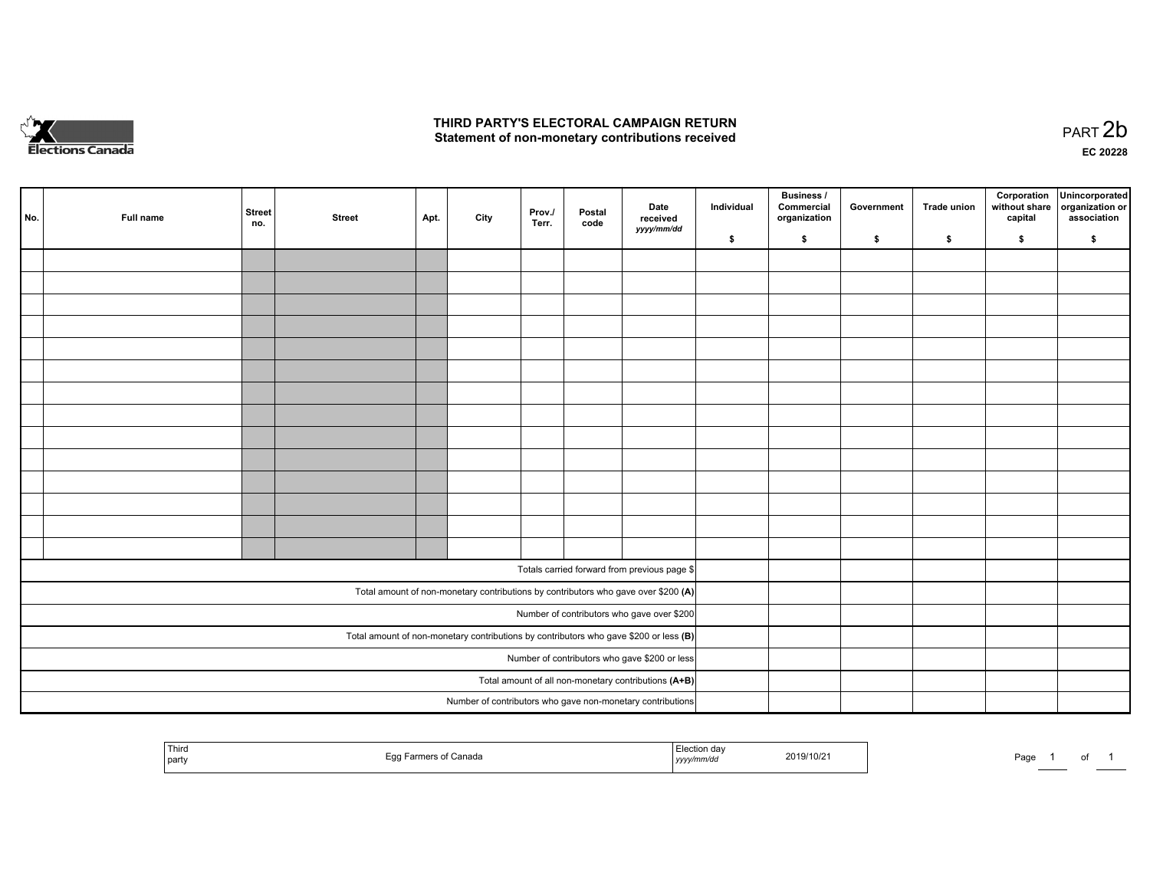

## **THIRD PARTY'S ELECTORAL CAMPAIGN RETURN**  THIRD PARTY'S ELECTORAL CAMPAIGN RETURN<br>Statement of non-monetary contributions received

| No.                                                  | Full name | <b>Street</b><br>no. | <b>Street</b>                                 | Apt. | City | Prov.<br>Terr. | Postal<br>code | Date<br>received<br>yyyy/mm/dd                                                          | Individual | <b>Business /</b><br>Commercial<br>organization | Government | Trade union | Corporation<br>without share<br>capital | Unincorporated<br>organization or<br>association |
|------------------------------------------------------|-----------|----------------------|-----------------------------------------------|------|------|----------------|----------------|-----------------------------------------------------------------------------------------|------------|-------------------------------------------------|------------|-------------|-----------------------------------------|--------------------------------------------------|
|                                                      |           |                      |                                               |      |      |                |                |                                                                                         | \$         | \$                                              | \$         | \$          | \$                                      | \$                                               |
|                                                      |           |                      |                                               |      |      |                |                |                                                                                         |            |                                                 |            |             |                                         |                                                  |
|                                                      |           |                      |                                               |      |      |                |                |                                                                                         |            |                                                 |            |             |                                         |                                                  |
|                                                      |           |                      |                                               |      |      |                |                |                                                                                         |            |                                                 |            |             |                                         |                                                  |
|                                                      |           |                      |                                               |      |      |                |                |                                                                                         |            |                                                 |            |             |                                         |                                                  |
|                                                      |           |                      |                                               |      |      |                |                |                                                                                         |            |                                                 |            |             |                                         |                                                  |
|                                                      |           |                      |                                               |      |      |                |                |                                                                                         |            |                                                 |            |             |                                         |                                                  |
|                                                      |           |                      |                                               |      |      |                |                |                                                                                         |            |                                                 |            |             |                                         |                                                  |
|                                                      |           |                      |                                               |      |      |                |                |                                                                                         |            |                                                 |            |             |                                         |                                                  |
|                                                      |           |                      |                                               |      |      |                |                |                                                                                         |            |                                                 |            |             |                                         |                                                  |
|                                                      |           |                      |                                               |      |      |                |                |                                                                                         |            |                                                 |            |             |                                         |                                                  |
|                                                      |           |                      |                                               |      |      |                |                |                                                                                         |            |                                                 |            |             |                                         |                                                  |
|                                                      |           |                      |                                               |      |      |                |                |                                                                                         |            |                                                 |            |             |                                         |                                                  |
|                                                      |           |                      |                                               |      |      |                |                |                                                                                         |            |                                                 |            |             |                                         |                                                  |
|                                                      |           |                      |                                               |      |      |                |                |                                                                                         |            |                                                 |            |             |                                         |                                                  |
|                                                      |           |                      |                                               |      |      |                |                |                                                                                         |            |                                                 |            |             |                                         |                                                  |
|                                                      |           |                      |                                               |      |      |                |                | Totals carried forward from previous page \$                                            |            |                                                 |            |             |                                         |                                                  |
|                                                      |           |                      |                                               |      |      |                |                | Total amount of non-monetary contributions by contributors who gave over \$200 (A)      |            |                                                 |            |             |                                         |                                                  |
|                                                      |           |                      |                                               |      |      |                |                | Number of contributors who gave over \$200                                              |            |                                                 |            |             |                                         |                                                  |
|                                                      |           |                      |                                               |      |      |                |                | Total amount of non-monetary contributions by contributors who gave \$200 or less $(B)$ |            |                                                 |            |             |                                         |                                                  |
|                                                      |           |                      | Number of contributors who gave \$200 or less |      |      |                |                |                                                                                         |            |                                                 |            |             |                                         |                                                  |
| Total amount of all non-monetary contributions (A+B) |           |                      |                                               |      |      |                |                |                                                                                         |            |                                                 |            |             |                                         |                                                  |
|                                                      |           |                      |                                               |      |      |                |                | Number of contributors who gave non-monetary contributions                              |            |                                                 |            |             |                                         |                                                  |
|                                                      |           |                      |                                               |      |      |                |                |                                                                                         |            |                                                 |            |             |                                         |                                                  |

| <b>Third</b><br>  party | <sup>⊏</sup> armers of Canada<br>⊏u | Election day<br>2019/10/21<br>yyyy/mm/dd | Page |
|-------------------------|-------------------------------------|------------------------------------------|------|
|-------------------------|-------------------------------------|------------------------------------------|------|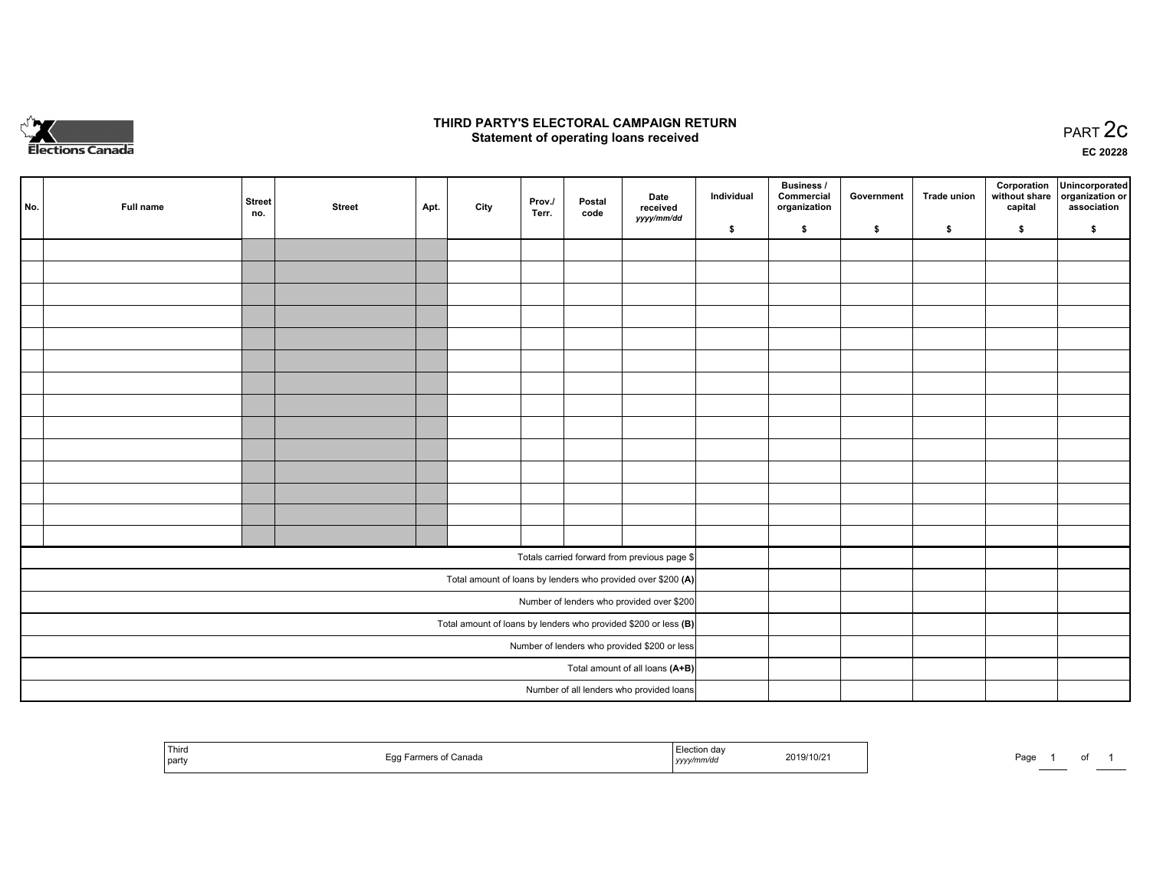

## **THIRD PARTY'S ELECTORAL CAMPAIGN RETURN STATE:** PRACT OF OPPRESS TO PART 2C STATE STATE STATE STATE STATE STATE STATE STATE STATE STATE STATE STATE STA<br>PART 2C Statement of operating loans received

**EC 20228**

| No. | Full name | <b>Street</b><br>no. | <b>Street</b> | Apt. | City | Prov./<br>Terr. | Postal<br>code | Date<br>received                                                | Individual | <b>Business /</b><br>Commercial<br>organization | Government | <b>Trade union</b> | Corporation<br>capital | Unincorporated<br>without share organization or<br>association |
|-----|-----------|----------------------|---------------|------|------|-----------------|----------------|-----------------------------------------------------------------|------------|-------------------------------------------------|------------|--------------------|------------------------|----------------------------------------------------------------|
|     |           |                      |               |      |      |                 |                | yyyy/mm/dd                                                      | \$         | \$                                              | \$         | \$                 | \$                     | \$                                                             |
|     |           |                      |               |      |      |                 |                |                                                                 |            |                                                 |            |                    |                        |                                                                |
|     |           |                      |               |      |      |                 |                |                                                                 |            |                                                 |            |                    |                        |                                                                |
|     |           |                      |               |      |      |                 |                |                                                                 |            |                                                 |            |                    |                        |                                                                |
|     |           |                      |               |      |      |                 |                |                                                                 |            |                                                 |            |                    |                        |                                                                |
|     |           |                      |               |      |      |                 |                |                                                                 |            |                                                 |            |                    |                        |                                                                |
|     |           |                      |               |      |      |                 |                |                                                                 |            |                                                 |            |                    |                        |                                                                |
|     |           |                      |               |      |      |                 |                |                                                                 |            |                                                 |            |                    |                        |                                                                |
|     |           |                      |               |      |      |                 |                |                                                                 |            |                                                 |            |                    |                        |                                                                |
|     |           |                      |               |      |      |                 |                |                                                                 |            |                                                 |            |                    |                        |                                                                |
|     |           |                      |               |      |      |                 |                |                                                                 |            |                                                 |            |                    |                        |                                                                |
|     |           |                      |               |      |      |                 |                |                                                                 |            |                                                 |            |                    |                        |                                                                |
|     |           |                      |               |      |      |                 |                |                                                                 |            |                                                 |            |                    |                        |                                                                |
|     |           |                      |               |      |      |                 |                |                                                                 |            |                                                 |            |                    |                        |                                                                |
|     |           |                      |               |      |      |                 |                |                                                                 |            |                                                 |            |                    |                        |                                                                |
|     |           |                      |               |      |      |                 |                | Totals carried forward from previous page \$                    |            |                                                 |            |                    |                        |                                                                |
|     |           |                      |               |      |      |                 |                | Total amount of loans by lenders who provided over \$200 (A)    |            |                                                 |            |                    |                        |                                                                |
|     |           |                      |               |      |      |                 |                | Number of lenders who provided over \$200                       |            |                                                 |            |                    |                        |                                                                |
|     |           |                      |               |      |      |                 |                | Total amount of loans by lenders who provided \$200 or less (B) |            |                                                 |            |                    |                        |                                                                |
|     |           |                      |               |      |      |                 |                | Number of lenders who provided \$200 or less                    |            |                                                 |            |                    |                        |                                                                |
|     |           |                      |               |      |      |                 |                | Total amount of all loans (A+B)                                 |            |                                                 |            |                    |                        |                                                                |
|     |           |                      |               |      |      |                 |                | Number of all lenders who provided loans                        |            |                                                 |            |                    |                        |                                                                |

| Third<br>Eag Earmers<br>≅ of Canada.<br>l partv | יction da<br>2019/10/21<br>yyyy/mm/dd | Page | 0t |
|-------------------------------------------------|---------------------------------------|------|----|
|-------------------------------------------------|---------------------------------------|------|----|

Page 1 of 1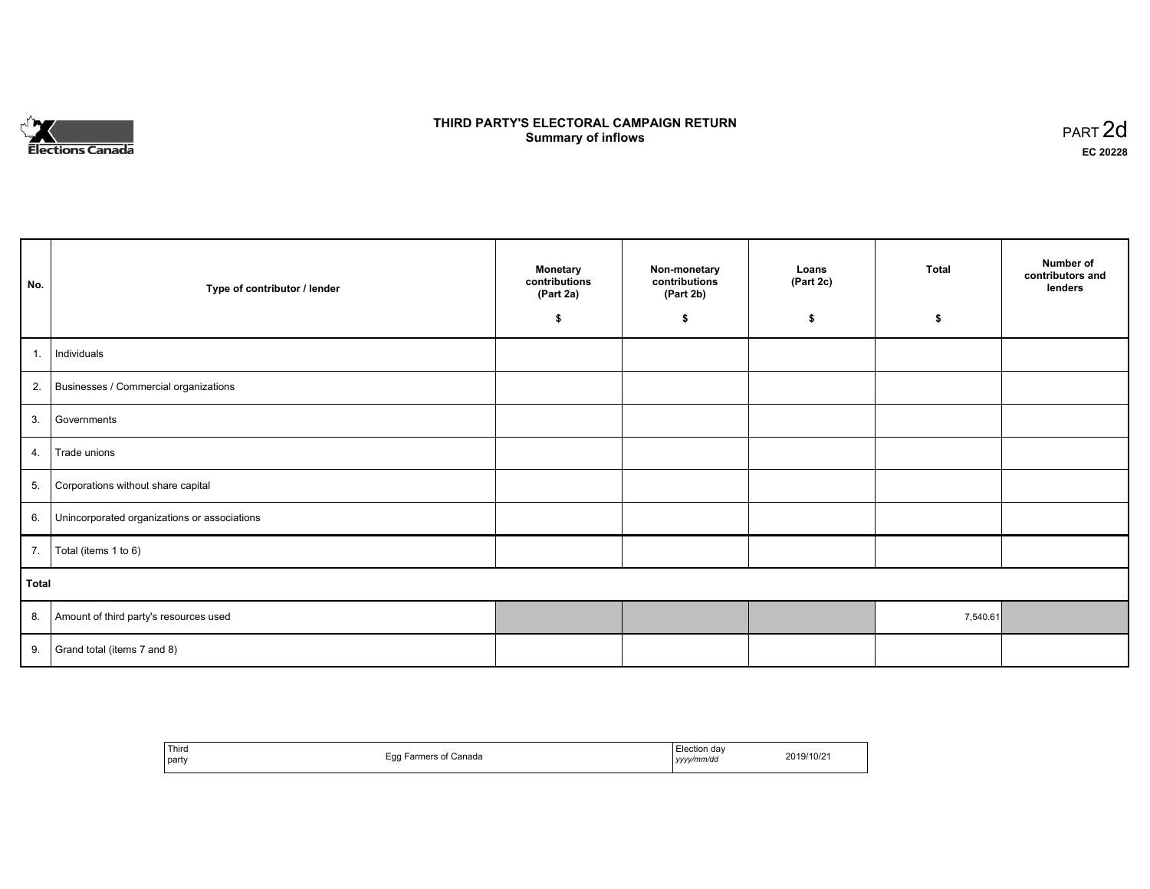

# **THIRD PARTY'S ELECTORAL CAMPAIGN RETURN S** ELECTORAL CAMPAIGN RETURN<br>Summary of inflows PART 2d

٦

| No.   | Type of contributor / lender                    | <b>Monetary</b><br>contributions<br>(Part 2a) | Non-monetary<br>contributions<br>(Part 2b) | Loans<br>(Part 2c) | <b>Total</b> | Number of<br>contributors and<br>lenders |
|-------|-------------------------------------------------|-----------------------------------------------|--------------------------------------------|--------------------|--------------|------------------------------------------|
|       |                                                 | \$                                            | \$                                         | \$                 | \$           |                                          |
| 1.    | Individuals                                     |                                               |                                            |                    |              |                                          |
|       | 2. Businesses / Commercial organizations        |                                               |                                            |                    |              |                                          |
| 3.    | Governments                                     |                                               |                                            |                    |              |                                          |
| 4.    | Trade unions                                    |                                               |                                            |                    |              |                                          |
| 5.    | Corporations without share capital              |                                               |                                            |                    |              |                                          |
|       | 6. Unincorporated organizations or associations |                                               |                                            |                    |              |                                          |
|       | 7.   Total (items 1 to 6)                       |                                               |                                            |                    |              |                                          |
| Total |                                                 |                                               |                                            |                    |              |                                          |
|       | 8. Amount of third party's resources used       |                                               |                                            |                    | 7,540.61     |                                          |
| 9.    | Grand total (items 7 and 8)                     |                                               |                                            |                    |              |                                          |

| ' Third<br>party | Farmers of Canada<br>Egg | Election dav<br>yyyy/mm/dd | 2019/10/21 |
|------------------|--------------------------|----------------------------|------------|
|------------------|--------------------------|----------------------------|------------|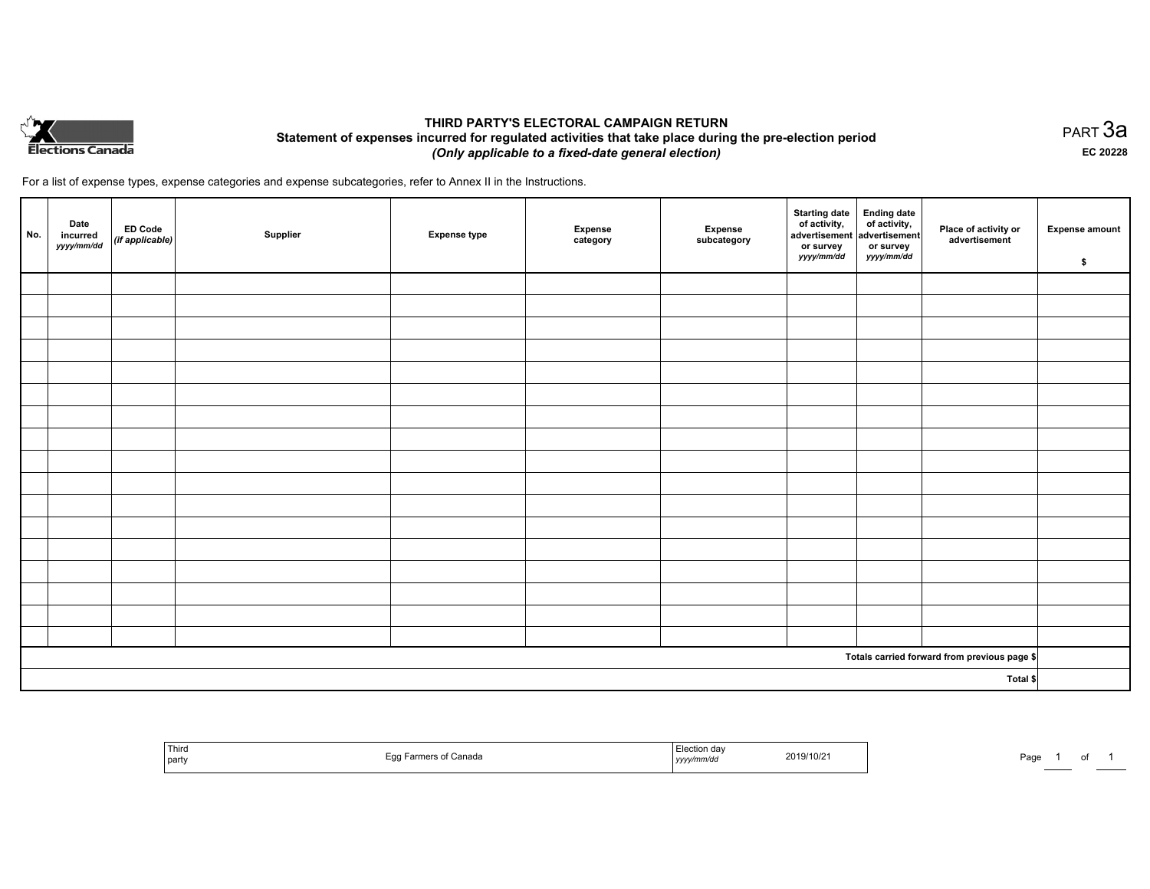

## **THIRD PARTY'S ELECTORAL CAMPAIGN RETURN Statement of expenses incurred for regulated activities that take place during the pre-election period**  *(Only applicable to a fixed-date general election)*

For a list of expense types, expense categories and expense subcategories, refer to Annex II in the Instructions.

| No.      | Date<br>incurred<br>yyyy/mm/dd | ED Code<br>(if applicable) | Supplier | <b>Expense type</b> | <b>Expense</b><br>category | Expense<br>subcategory | Starting date<br>of activity,<br>advertisement<br>or survey<br>yyyy/mm/dd | Ending date<br>of activity,<br>advertisement<br>or survey<br>yyyy/mm/dd | Place of activity or<br>advertisement        | <b>Expense amount</b><br>\$ |
|----------|--------------------------------|----------------------------|----------|---------------------|----------------------------|------------------------|---------------------------------------------------------------------------|-------------------------------------------------------------------------|----------------------------------------------|-----------------------------|
|          |                                |                            |          |                     |                            |                        |                                                                           |                                                                         |                                              |                             |
|          |                                |                            |          |                     |                            |                        |                                                                           |                                                                         |                                              |                             |
|          |                                |                            |          |                     |                            |                        |                                                                           |                                                                         |                                              |                             |
|          |                                |                            |          |                     |                            |                        |                                                                           |                                                                         |                                              |                             |
|          |                                |                            |          |                     |                            |                        |                                                                           |                                                                         |                                              |                             |
|          |                                |                            |          |                     |                            |                        |                                                                           |                                                                         |                                              |                             |
|          |                                |                            |          |                     |                            |                        |                                                                           |                                                                         |                                              |                             |
|          |                                |                            |          |                     |                            |                        |                                                                           |                                                                         |                                              |                             |
|          |                                |                            |          |                     |                            |                        |                                                                           |                                                                         |                                              |                             |
|          |                                |                            |          |                     |                            |                        |                                                                           |                                                                         |                                              |                             |
|          |                                |                            |          |                     |                            |                        |                                                                           |                                                                         |                                              |                             |
|          |                                |                            |          |                     |                            |                        |                                                                           |                                                                         |                                              |                             |
|          |                                |                            |          |                     |                            |                        |                                                                           |                                                                         |                                              |                             |
|          |                                |                            |          |                     |                            |                        |                                                                           |                                                                         |                                              |                             |
|          |                                |                            |          |                     |                            |                        |                                                                           |                                                                         |                                              |                             |
|          |                                |                            |          |                     |                            |                        |                                                                           |                                                                         |                                              |                             |
|          |                                |                            |          |                     |                            |                        |                                                                           |                                                                         |                                              |                             |
|          |                                |                            |          |                     |                            |                        |                                                                           |                                                                         | Totals carried forward from previous page \$ |                             |
| Total \$ |                                |                            |          |                     |                            |                        |                                                                           |                                                                         |                                              |                             |

| Third<br><b>STATISTICS</b><br>  party | Canada | ⊨lection dav<br>2019/10/2<br>.<br>yyyymm/ar | Page |
|---------------------------------------|--------|---------------------------------------------|------|
|---------------------------------------|--------|---------------------------------------------|------|

PART 3a **EC 20228**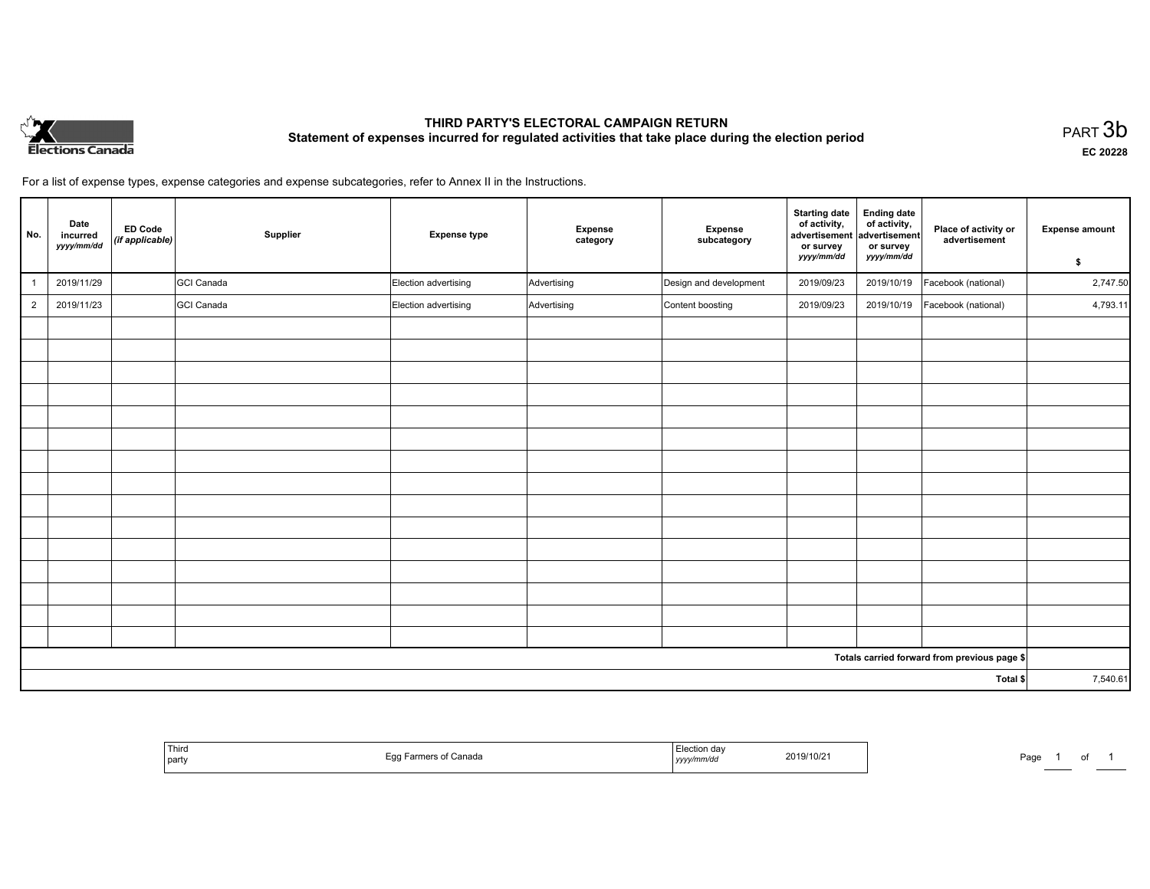

# **THIRD PARTY'S ELECTORAL CAMPAIGN RETURN Statement of expenses incurred for regulated activities that take place during the election period**<br>PART  $3\mathsf{b}$

**EC 20228**

For a list of expense types, expense categories and expense subcategories, refer to Annex II in the Instructions.

| No.            | Date<br>incurred<br>yyyy/mm/dd | <b>ED Code</b><br>(if applicable) | Supplier          | <b>Expense type</b>  | Expense<br>category | Expense<br>subcategory | <b>Starting date</b><br>of activity,<br>advertisement<br>or survey<br>yyyy/mm/dd | <b>Ending date</b><br>of activity,<br>advertisement<br>or survey<br>yyyy/mm/dd | Place of activity or<br>advertisement        | <b>Expense amount</b><br>\$ |
|----------------|--------------------------------|-----------------------------------|-------------------|----------------------|---------------------|------------------------|----------------------------------------------------------------------------------|--------------------------------------------------------------------------------|----------------------------------------------|-----------------------------|
|                | 2019/11/29                     |                                   | GCI Canada        | Election advertising | Advertising         | Design and development | 2019/09/23                                                                       | 2019/10/19                                                                     | Facebook (national)                          | 2,747.50                    |
| $\overline{2}$ | 2019/11/23                     |                                   | <b>GCI Canada</b> | Election advertising | Advertising         | Content boosting       | 2019/09/23                                                                       | 2019/10/19                                                                     | Facebook (national)                          | 4,793.11                    |
|                |                                |                                   |                   |                      |                     |                        |                                                                                  |                                                                                |                                              |                             |
|                |                                |                                   |                   |                      |                     |                        |                                                                                  |                                                                                |                                              |                             |
|                |                                |                                   |                   |                      |                     |                        |                                                                                  |                                                                                |                                              |                             |
|                |                                |                                   |                   |                      |                     |                        |                                                                                  |                                                                                |                                              |                             |
|                |                                |                                   |                   |                      |                     |                        |                                                                                  |                                                                                |                                              |                             |
|                |                                |                                   |                   |                      |                     |                        |                                                                                  |                                                                                |                                              |                             |
|                |                                |                                   |                   |                      |                     |                        |                                                                                  |                                                                                |                                              |                             |
|                |                                |                                   |                   |                      |                     |                        |                                                                                  |                                                                                |                                              |                             |
|                |                                |                                   |                   |                      |                     |                        |                                                                                  |                                                                                |                                              |                             |
|                |                                |                                   |                   |                      |                     |                        |                                                                                  |                                                                                |                                              |                             |
|                |                                |                                   |                   |                      |                     |                        |                                                                                  |                                                                                |                                              |                             |
|                |                                |                                   |                   |                      |                     |                        |                                                                                  |                                                                                |                                              |                             |
|                |                                |                                   |                   |                      |                     |                        |                                                                                  |                                                                                |                                              |                             |
|                |                                |                                   |                   |                      |                     |                        |                                                                                  |                                                                                |                                              |                             |
|                |                                |                                   |                   |                      |                     |                        |                                                                                  |                                                                                |                                              |                             |
|                |                                |                                   |                   |                      |                     |                        |                                                                                  |                                                                                | Totals carried forward from previous page \$ |                             |
| Total \$       |                                |                                   |                   |                      |                     | 7,540.61               |                                                                                  |                                                                                |                                              |                             |

| Third<br>Eaa<br>≿anada<br>$\sim$<br>l party<br>ັບ | ≅≏tion da⊾<br>2019/10/2<br>.nm/ar<br>,,,,, | Page<br>0t |
|---------------------------------------------------|--------------------------------------------|------------|
|---------------------------------------------------|--------------------------------------------|------------|